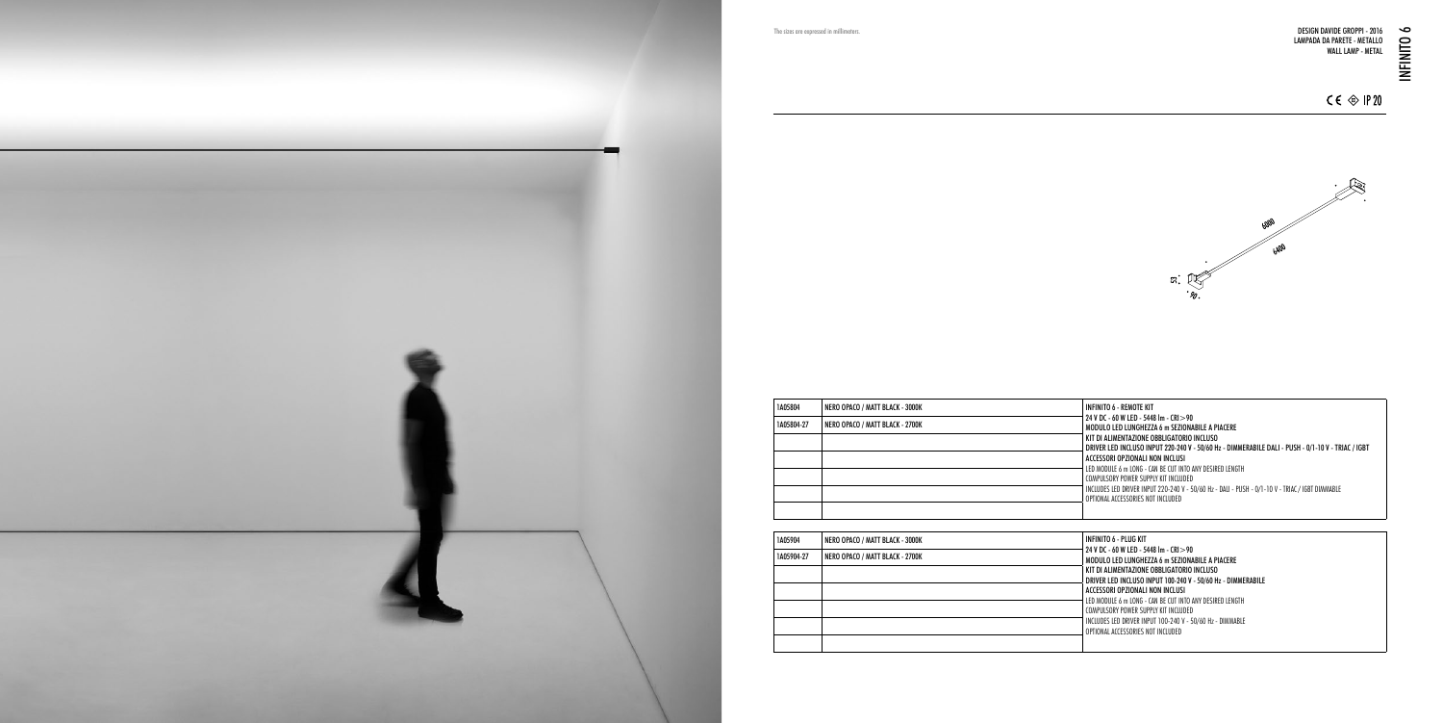

INFINITO 6 - REMOTE KIT 24 V DC - 60 W LED - 5448 lm - CRI>90 MODULO LED LUNGHEZZA 6 m SEZIONABILE A PIACERE KIT DI ALIMENTAZIONE OBBLIGATORIO INCLUSO DRIVER LED INCLUSO INPUT 220-240 V - 50/60 Hz - DIMMERABILE DALI - PUSH - 0/1-10 V - TRIAC / IGBT ACCESSORI OPZIONALI NON INCLUSI LED MODULE 6 m LONG - CAN BE CUT INTO ANY DESIRED LENGTH COMPULSORY POWER SUPPLY KIT INCLUDED INCLUDES LED DRIVER INPUT 220-240 V - 50/60 Hz - DALI - PUSH - 0/1-10 V - TRIAC / IGBT DIMMABLE OPTIONAL ACCESSORIES NOT INCLUDED

NFINITO 6 - PLUG KIT 24 V DC - 60 W LED - 5448 lm - CRI>90 MODULO LED LUNGHEZZA 6 m SEZIONABILE A PIACERE KIT DI ALIMENTAZIONE OBBLIGATORIO INCLUSO DRIVER LED INCLUSO INPUT 100-240 V - 50/60 Hz - DIMMERABILE ACCESSORI OPZIONALI NON INCLUSI LED MODULE 6 m LONG - CAN BE CUT INTO ANY DESIRED LENGTH COMPULSORY POWER SUPPLY KIT INCLUDED INCLUDES LED DRIVER INPUT 100-240 V - 50/60 Hz - DIMMABLE OPTIONAL ACCESSORIES NOT INCLUDED

| 1A05804    | NERO OPACO / MATT BLACK - 3000K |  |
|------------|---------------------------------|--|
| 1A05804-27 | NERO OPACO / MATT BLACK - 2700K |  |
|            |                                 |  |
|            |                                 |  |
|            |                                 |  |
|            |                                 |  |
|            |                                 |  |

| 1A05904    | NERO OPACO / MATT BLACK - 3000K | IN             |
|------------|---------------------------------|----------------|
| 1A05904-27 | NERO OPACO / MATT BLACK - 2700K | 24<br>M        |
|            |                                 | KI<br>DI       |
|            |                                 | A <sub>(</sub> |
|            |                                 | LE<br>$\alpha$ |
|            |                                 | IN<br>0F       |
|            |                                 |                |



The sizes are expressed in millimeters.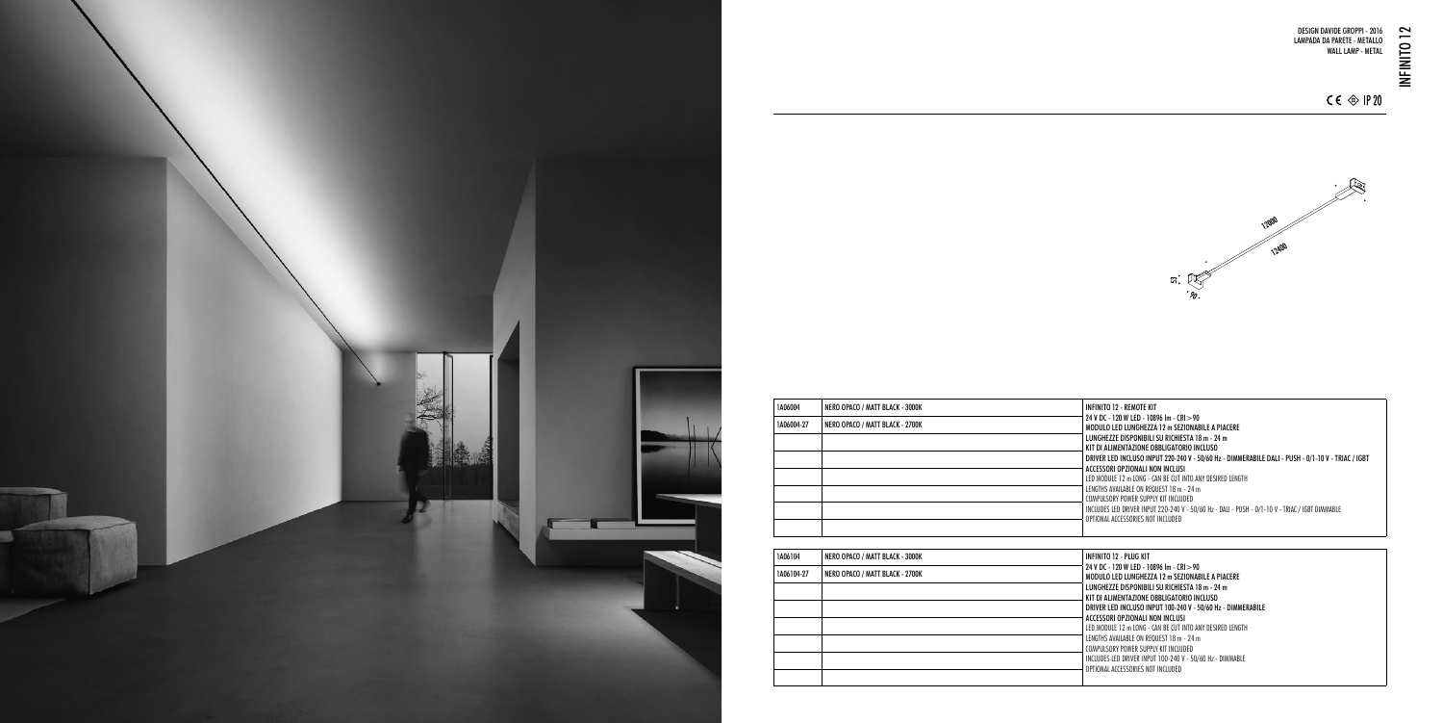INFINITO 12 - REMOTE KIT 24 V DC - 120 W LED - 10896 lm - CRI>90 MODULO LED LUNGHEZZA 12 m SEZIONABILE A PIACERE LUNGHEZZE DISPONIBILI SU RICHIESTA 18 m - 24 m KIT DI ALIMENTAZIONE OBBLIGATORIO INCLUSO DRIVER LED INCLUSO INPUT 220-240 V - 50/60 Hz - DIMMERABILE DALI - PUSH - 0/1-10 V - TRIAC / IGBT ACCESSORI OPZIONALI NON INCLUSI LED MODULE 12 m LONG - CAN BE CUT INTO ANY DESIRED LENGTH LENGTHS AVAILABLE ON REQUEST 18 m - 24 m COMPULSORY POWER SUPPLY KIT INCLUDED INCLUDES LED DRIVER INPUT 220-240 V - 50/60 Hz - DALI - PUSH - 0/1-10 V - TRIAC / IGBT DIMMABLE OPTIONAL ACCESSORIES NOT INCLUDED

NFINITO 12 - PLUG KIT 24 V DC - 120 W LED - 10896 lm - CRI>90 MODULO LED LUNGHEZZA 12 m SEZIONABILE A PIACERE LUNGHEZZE DISPONIBILI SU RICHIESTA 18 m - 24 m KIT DI ALIMENTAZIONE OBBLIGATORIO INCLUSO DRIVER LED INCLUSO INPUT 100-240 V - 50/60 Hz - DIMMERABILE ACCESSORI OPZIONALI NON INCLUSI LED MODULE 12 m LONG - CAN BE CUT INTO ANY DESIRED LENGTH LENGTHS AVAILABLE ON REQUEST 18 m - 24 m COMPULSORY POWER SUPPLY KIT INCLUDED INCLUDES LED DRIVER INPUT 100-240 V - 50/60 Hz - DIMMABLE OPTIONAL ACCESSORIES NOT INCLUDED



| 1A06004    | NERO OPACO / MATT BLACK - 3000K | Ш                            |
|------------|---------------------------------|------------------------------|
| 1A06004-27 | NERO OPACO / MATT BLACK - 2700K | $\overline{\mathbf{2}}$<br>N |
|            |                                 | L<br>ĸ                       |
|            |                                 | D                            |
|            |                                 | A<br>U                       |
|            |                                 | Ц<br>C                       |
|            |                                 | Ш                            |
|            |                                 | 0                            |

| 1A06104    | NERO OPACO / MATT BLACK - 3000K | Ш                   |
|------------|---------------------------------|---------------------|
| 1A06104-27 | NERO OPACO / MATT BLACK - 2700K | 2 <sup>i</sup><br>M |
|            |                                 | L<br>К              |
|            |                                 | D                   |
|            |                                 | A<br>LB             |
|            |                                 | LB<br>C             |
|            |                                 | $\mathbb{I}$        |
|            |                                 | 0                   |
|            |                                 |                     |

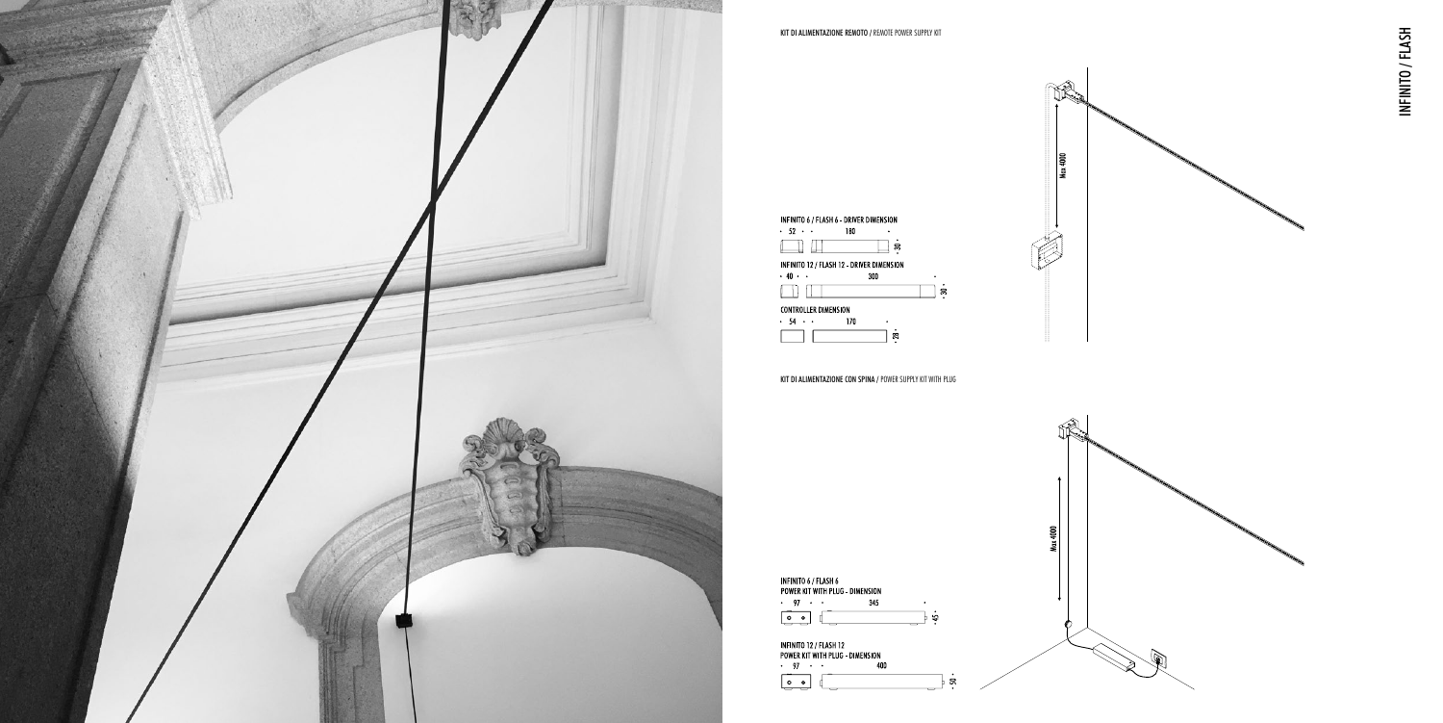

INFINITO / FLASH INFINITO / FLASH

KIT DI ALIMENTAZIONE CON SPINA / POWER SUPPLY KIT WITH PLUG



 $h \approx$ 

INFINITO 12 / FLASH 12 POWER KIT WITH PLUG - DIMENSION  $\cdot$  97  $\cdot$   $\cdot$ 400  $\sqrt{2}$ 

 $Max 4000$ 

Max 4000

É

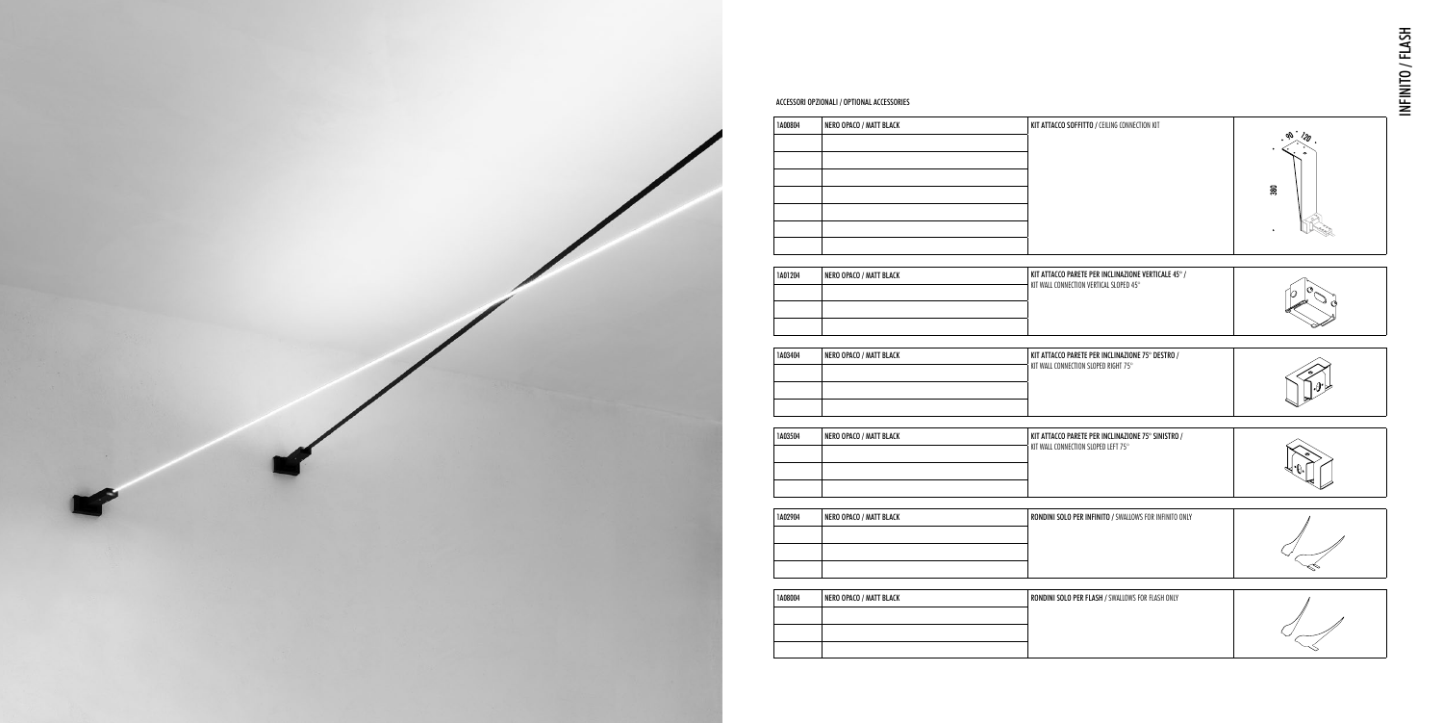| 1A00804 | NERO OPACO / MATT BLACK | KIT ATTACCO SOFFITTO / CEILING CONNECTION KIT                                                  | $\overline{\phantom{0}}30$ |
|---------|-------------------------|------------------------------------------------------------------------------------------------|----------------------------|
| 1A01204 | NERO OPACO / MATT BLACK | KIT ATTACCO PARETE PER INCLINAZIONE VERTICALE 45° /<br>KIT WALL CONNECTION VERTICAL SLOPED 45° |                            |
| 1A03404 | NERO OPACO / MATT BLACK | KIT ATTACCO PARETE PER INCLINAZIONE 75° DESTRO /<br>KIT WALL CONNECTION SLOPED RIGHT 75°       |                            |
| 1A03504 | NERO OPACO / MATT BLACK | KIT ATTACCO PARETE PER INCLINAZIONE 75° SINISTRO /<br>KIT WALL CONNECTION SLOPED LEFT 75°      |                            |
| 1A02904 | NERO OPACO / MATT BLACK | RONDINI SOLO PER INFINITO / SWALLOWS FOR INFINITO ONLY                                         |                            |
| 1A08004 | NERO OPACO / MATT BLACK | RONDINI SOLO PER FLASH / SWALLOWS FOR FLASH ONLY                                               |                            |

| 1A00804 | NERO OPACO / MATT BLACK | KIT ATTACCO SOFFITTO / CEILING CONNECTION KIT                                                  | $380\,$ |
|---------|-------------------------|------------------------------------------------------------------------------------------------|---------|
| 1A01204 | NERO OPACO / MATT BLACK | KIT ATTACCO PARETE PER INCLINAZIONE VERTICALE 45° /<br>KIT WALL CONNECTION VERTICAL SLOPED 45° |         |
| 1A03404 | NERO OPACO / MATT BLACK | KIT ATTACCO PARETE PER INCLINAZIONE 75° DESTRO /<br>KIT WALL CONNECTION SLOPED RIGHT 75°       |         |
| 1A03504 | NERO OPACO / MATT BLACK | KIT ATTACCO PARETE PER INCLINAZIONE 75° SINISTRO /<br>KIT WALL CONNECTION SLOPED LEFT 75°      |         |
| 1A02904 | NERO OPACO / MATT BLACK | RONDINI SOLO PER INFINITO / SWALLOWS FOR INFINITO ONLY                                         |         |
| 1A08004 | NERO OPACO / MATT BLACK | RONDINI SOLO PER FLASH / SWALLOWS FOR FLASH ONLY                                               |         |

| 1A00804 | NERO OPACO / MATT BLACK | KIT ATTACCO SOFFITTO / CEILING CONNECTION KIT                                                  | oθ<br>$380\,$ |
|---------|-------------------------|------------------------------------------------------------------------------------------------|---------------|
| 1A01204 | NERO OPACO / MATT BLACK | KIT ATTACCO PARETE PER INCLINAZIONE VERTICALE 45° /<br>KIT WALL CONNECTION VERTICAL SLOPED 45° |               |
| 1A03404 | NERO OPACO / MATT BLACK | KIT ATTACCO PARETE PER INCLINAZIONE 75° DESTRO /<br>KIT WALL CONNECTION SLOPED RIGHT 75°       |               |
| 1A03504 | NERO OPACO / MATT BLACK | KIT ATTACCO PARETE PER INCLINAZIONE 75° SINISTRO /<br>KIT WALL CONNECTION SLOPED LEFT 75°      |               |
| 1A02904 | NERO OPACO / MATT BLACK | RONDINI SOLO PER INFINITO / SWALLOWS FOR INFINITO ONLY                                         |               |
| 1A08004 | NERO OPACO / MATT BLACK | RONDINI SOLO PER FLASH / SWALLOWS FOR FLASH ONLY                                               |               |

| 1A03504 | NERO OPACO / MATT BLACK | KIT ATTACCO PARETE PE   |
|---------|-------------------------|-------------------------|
|         |                         | KIT WALL CONNECTION SLO |
|         |                         |                         |
|         |                         |                         |

| 1A00804 | NERO OPACO / MATT BLACK | KIT ATTACCO SOFFITTO / CEILING CONNECTION KIT                                                  | $\rm 380$ |
|---------|-------------------------|------------------------------------------------------------------------------------------------|-----------|
| 1A01204 | NERO OPACO / MATT BLACK | KIT ATTACCO PARETE PER INCLINAZIONE VERTICALE 45° /<br>KIT WALL CONNECTION VERTICAL SLOPED 45° |           |
| 1A03404 | NERO OPACO / MATT BLACK | KIT ATTACCO PARETE PER INCLINAZIONE 75° DESTRO /<br>KIT WALL CONNECTION SLOPED RIGHT 75°       |           |
| 1A03504 | NERO OPACO / MATT BLACK | KIT ATTACCO PARETE PER INCLINAZIONE 75° SINISTRO /<br>KIT WALL CONNECTION SLOPED LEFT 75°      |           |
| 1A02904 | NERO OPACO / MATT BLACK | RONDINI SOLO PER INFINITO / SWALLOWS FOR INFINITO ONLY                                         |           |
| 1A08004 | NERO OPACO / MATT BLACK | RONDINI SOLO PER FLASH / SWALLOWS FOR FLASH ONLY                                               |           |

| 1A08004 | NERO OPACO / MATT BLACK | RONDINI SOLO PER FLA |
|---------|-------------------------|----------------------|
|         |                         |                      |
|         |                         |                      |
|         |                         |                      |

## ACCESSORI OPZIONALI / OPTIONAL ACCESSORIES